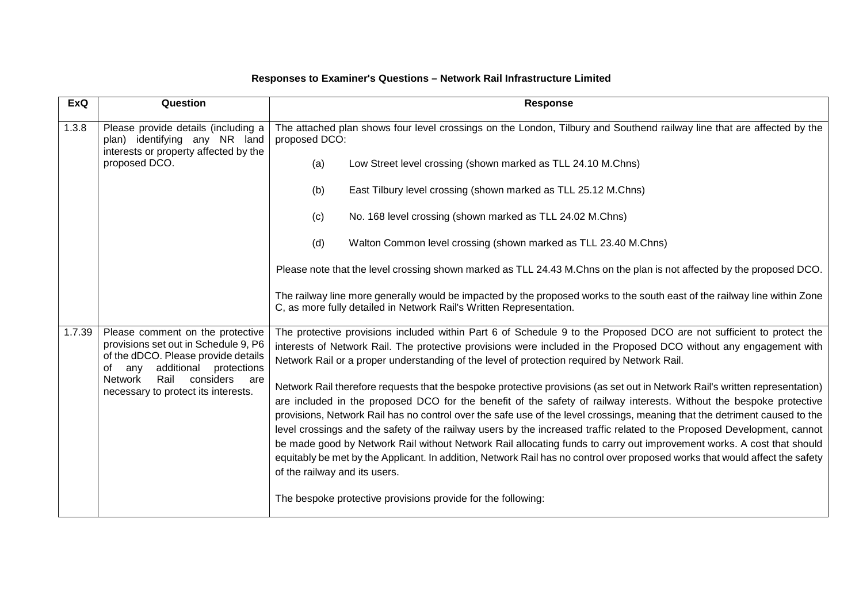| ExQ    | Question                                                                                                                                                                                                                                | <b>Response</b>                                                                                                                                                                                                                                                                                                                                                                                                                                                                                                                                                                                                                                                                                                                |
|--------|-----------------------------------------------------------------------------------------------------------------------------------------------------------------------------------------------------------------------------------------|--------------------------------------------------------------------------------------------------------------------------------------------------------------------------------------------------------------------------------------------------------------------------------------------------------------------------------------------------------------------------------------------------------------------------------------------------------------------------------------------------------------------------------------------------------------------------------------------------------------------------------------------------------------------------------------------------------------------------------|
| 1.3.8  | Please provide details (including a<br>plan) identifying any NR land<br>interests or property affected by the<br>proposed DCO.                                                                                                          | The attached plan shows four level crossings on the London, Tilbury and Southend railway line that are affected by the<br>proposed DCO:                                                                                                                                                                                                                                                                                                                                                                                                                                                                                                                                                                                        |
|        |                                                                                                                                                                                                                                         | Low Street level crossing (shown marked as TLL 24.10 M.Chns)<br>(a)                                                                                                                                                                                                                                                                                                                                                                                                                                                                                                                                                                                                                                                            |
|        |                                                                                                                                                                                                                                         | East Tilbury level crossing (shown marked as TLL 25.12 M.Chns)<br>(b)                                                                                                                                                                                                                                                                                                                                                                                                                                                                                                                                                                                                                                                          |
|        |                                                                                                                                                                                                                                         | No. 168 level crossing (shown marked as TLL 24.02 M.Chns)<br>(c)                                                                                                                                                                                                                                                                                                                                                                                                                                                                                                                                                                                                                                                               |
|        |                                                                                                                                                                                                                                         | (d)<br>Walton Common level crossing (shown marked as TLL 23.40 M.Chns)                                                                                                                                                                                                                                                                                                                                                                                                                                                                                                                                                                                                                                                         |
|        |                                                                                                                                                                                                                                         | Please note that the level crossing shown marked as TLL 24.43 M.Chns on the plan is not affected by the proposed DCO.                                                                                                                                                                                                                                                                                                                                                                                                                                                                                                                                                                                                          |
|        |                                                                                                                                                                                                                                         | The railway line more generally would be impacted by the proposed works to the south east of the railway line within Zone<br>C, as more fully detailed in Network Rail's Written Representation.                                                                                                                                                                                                                                                                                                                                                                                                                                                                                                                               |
| 1.7.39 | Please comment on the protective<br>provisions set out in Schedule 9, P6<br>of the dDCO. Please provide details<br>additional<br>protections<br>any<br>of<br>Network<br>Rail<br>considers<br>are<br>necessary to protect its interests. | The protective provisions included within Part 6 of Schedule 9 to the Proposed DCO are not sufficient to protect the<br>interests of Network Rail. The protective provisions were included in the Proposed DCO without any engagement with<br>Network Rail or a proper understanding of the level of protection required by Network Rail.<br>Network Rail therefore requests that the bespoke protective provisions (as set out in Network Rail's written representation)<br>are included in the proposed DCO for the benefit of the safety of railway interests. Without the bespoke protective<br>provisions, Network Rail has no control over the safe use of the level crossings, meaning that the detriment caused to the |
|        |                                                                                                                                                                                                                                         | level crossings and the safety of the railway users by the increased traffic related to the Proposed Development, cannot<br>be made good by Network Rail without Network Rail allocating funds to carry out improvement works. A cost that should<br>equitably be met by the Applicant. In addition, Network Rail has no control over proposed works that would affect the safety<br>of the railway and its users.                                                                                                                                                                                                                                                                                                             |
|        |                                                                                                                                                                                                                                         | The bespoke protective provisions provide for the following:                                                                                                                                                                                                                                                                                                                                                                                                                                                                                                                                                                                                                                                                   |

## **Responses to Examiner's Questions – Network Rail Infrastructure Limited**